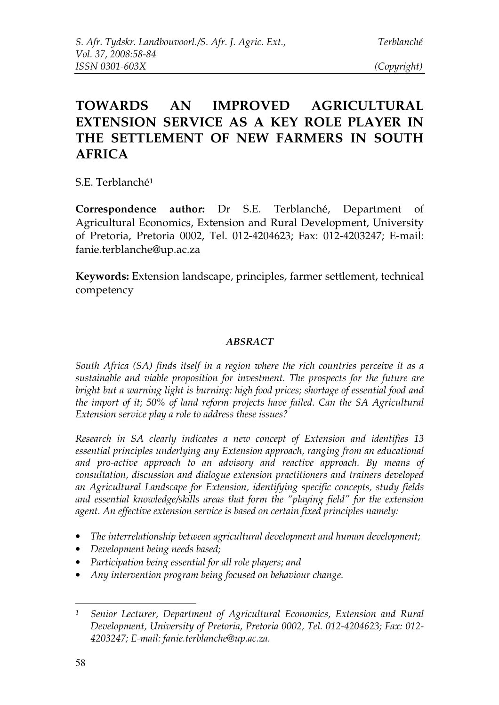# **TOWARDS AN IMPROVED AGRICULTURAL EXTENSION SERVICE AS A KEY ROLE PLAYER IN THE SETTLEMENT OF NEW FARMERS IN SOUTH AFRICA**

S.E. Terblanché<sup>1</sup>

**Correspondence author:** Dr S.E. Terblanché, Department of Agricultural Economics, Extension and Rural Development, University of Pretoria, Pretoria 0002, Tel. 012-4204623; Fax: 012-4203247; E-mail: fanie.terblanche@up.ac.za

**Keywords:** Extension landscape, principles, farmer settlement, technical competency

#### *ABSRACT*

*South Africa (SA) finds itself in a region where the rich countries perceive it as a sustainable and viable proposition for investment. The prospects for the future are bright but a warning light is burning: high food prices; shortage of essential food and the import of it; 50% of land reform projects have failed. Can the SA Agricultural Extension service play a role to address these issues?*

*Research in SA clearly indicates a new concept of Extension and identifies 13 essential principles underlying any Extension approach, ranging from an educational and pro-active approach to an advisory and reactive approach. By means of consultation, discussion and dialogue extension practitioners and trainers developed an Agricultural Landscape for Extension, identifying specific concepts, study fields and essential knowledge/skills areas that form the "playing field" for the extension agent. An effective extension service is based on certain fixed principles namely:*

- *The interrelationship between agricultural development and human development;*
- *Development being needs based;*
- *Participation being essential for all role players; and*
- *Any intervention program being focused on behaviour change.*

*<sup>1</sup> Senior Lecturer, Department of Agricultural Economics, Extension and Rural Development, University of Pretoria, Pretoria 0002, Tel. 012-4204623; Fax: 012- 4203247; E-mail: fanie.terblanche@up.ac.za.*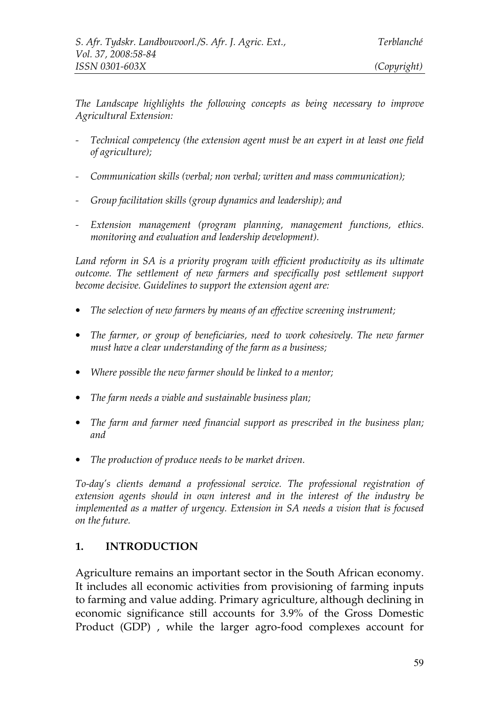*The Landscape highlights the following concepts as being necessary to improve Agricultural Extension:*

- *- Technical competency (the extension agent must be an expert in at least one field of agriculture);*
- *- Communication skills (verbal; non verbal; written and mass communication);*
- *- Group facilitation skills (group dynamics and leadership); and*
- *- Extension management (program planning, management functions, ethics. monitoring and evaluation and leadership development).*

*Land reform in SA is a priority program with efficient productivity as its ultimate outcome. The settlement of new farmers and specifically post settlement support become decisive. Guidelines to support the extension agent are:*

- *The selection of new farmers by means of an effective screening instrument;*
- *The farmer, or group of beneficiaries, need to work cohesively. The new farmer must have a clear understanding of the farm as a business;*
- *Where possible the new farmer should be linked to a mentor;*
- *The farm needs a viable and sustainable business plan;*
- *The farm and farmer need financial support as prescribed in the business plan; and*
- *The production of produce needs to be market driven.*

*To-day's clients demand a professional service. The professional registration of extension agents should in own interest and in the interest of the industry be implemented as a matter of urgency. Extension in SA needs a vision that is focused on the future.*

#### **1. INTRODUCTION**

Agriculture remains an important sector in the South African economy. It includes all economic activities from provisioning of farming inputs to farming and value adding. Primary agriculture, although declining in economic significance still accounts for 3.9% of the Gross Domestic Product (GDP) , while the larger agro-food complexes account for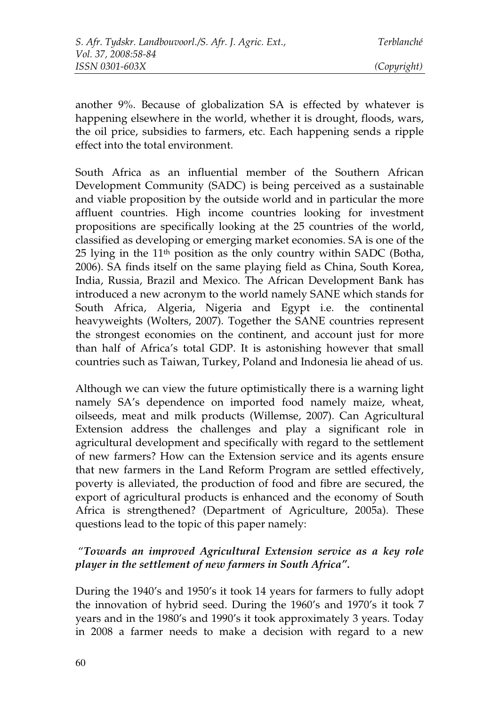another 9%. Because of globalization SA is effected by whatever is happening elsewhere in the world, whether it is drought, floods, wars, the oil price, subsidies to farmers, etc. Each happening sends a ripple effect into the total environment.

South Africa as an influential member of the Southern African Development Community (SADC) is being perceived as a sustainable and viable proposition by the outside world and in particular the more affluent countries. High income countries looking for investment propositions are specifically looking at the 25 countries of the world, classified as developing or emerging market economies. SA is one of the 25 lying in the 11th position as the only country within SADC (Botha, 2006). SA finds itself on the same playing field as China, South Korea, India, Russia, Brazil and Mexico. The African Development Bank has introduced a new acronym to the world namely SANE which stands for South Africa, Algeria, Nigeria and Egypt i.e. the continental heavyweights (Wolters, 2007). Together the SANE countries represent the strongest economies on the continent, and account just for more than half of Africa's total GDP. It is astonishing however that small countries such as Taiwan, Turkey, Poland and Indonesia lie ahead of us.

Although we can view the future optimistically there is a warning light namely SA's dependence on imported food namely maize, wheat, oilseeds, meat and milk products (Willemse, 2007). Can Agricultural Extension address the challenges and play a significant role in agricultural development and specifically with regard to the settlement of new farmers? How can the Extension service and its agents ensure that new farmers in the Land Reform Program are settled effectively, poverty is alleviated, the production of food and fibre are secured, the export of agricultural products is enhanced and the economy of South Africa is strengthened? (Department of Agriculture, 2005a). These questions lead to the topic of this paper namely:

## "*Towards an improved Agricultural Extension service as a key role player in the settlement of new farmers in South Africa".*

During the 1940's and 1950's it took 14 years for farmers to fully adopt the innovation of hybrid seed. During the 1960's and 1970's it took 7 years and in the 1980's and 1990's it took approximately 3 years. Today in 2008 a farmer needs to make a decision with regard to a new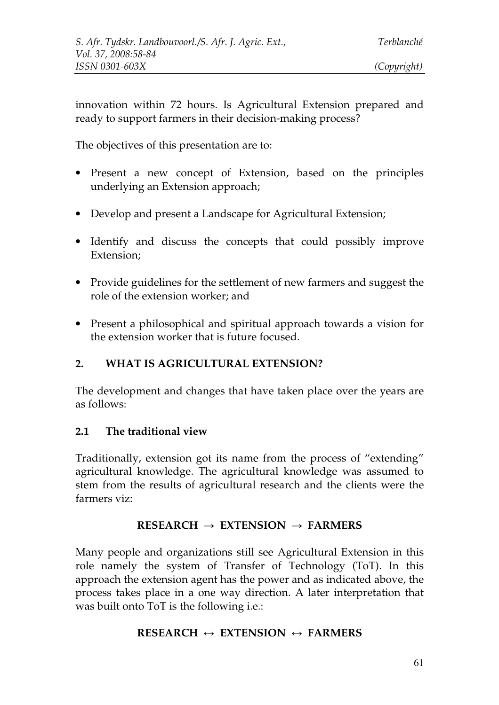innovation within 72 hours. Is Agricultural Extension prepared and ready to support farmers in their decision-making process?

The objectives of this presentation are to:

- Present a new concept of Extension, based on the principles underlying an Extension approach;
- Develop and present a Landscape for Agricultural Extension;
- Identify and discuss the concepts that could possibly improve Extension;
- Provide guidelines for the settlement of new farmers and suggest the role of the extension worker; and
- Present a philosophical and spiritual approach towards a vision for the extension worker that is future focused.

### **2. WHAT IS AGRICULTURAL EXTENSION?**

The development and changes that have taken place over the years are as follows:

### **2.1 The traditional view**

Traditionally, extension got its name from the process of "extending" agricultural knowledge. The agricultural knowledge was assumed to stem from the results of agricultural research and the clients were the farmers viz:

### **RESEARCH EXTENSION FARMERS**

Many people and organizations still see Agricultural Extension in this role namely the system of Transfer of Technology (ToT). In this approach the extension agent has the power and as indicated above, the process takes place in a one way direction. A later interpretation that was built onto ToT is the following i.e.:

## **RESEARCH ↔ EXTENSION ↔ FARMERS**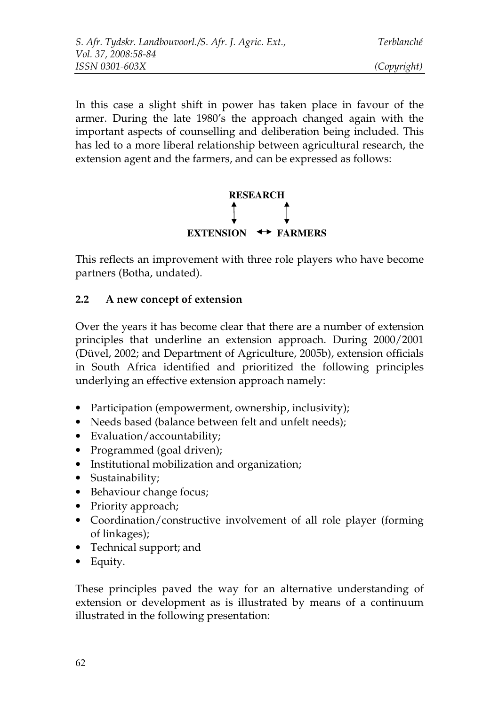In this case a slight shift in power has taken place in favour of the armer. During the late 1980's the approach changed again with the important aspects of counselling and deliberation being included. This has led to a more liberal relationship between agricultural research, the extension agent and the farmers, and can be expressed as follows:



This reflects an improvement with three role players who have become partners (Botha, undated).

### **2.2 A new concept of extension**

Over the years it has become clear that there are a number of extension principles that underline an extension approach. During 2000/2001 (Düvel, 2002; and Department of Agriculture, 2005b), extension officials in South Africa identified and prioritized the following principles underlying an effective extension approach namely:

- Participation (empowerment, ownership, inclusivity);
- Needs based (balance between felt and unfelt needs);
- Evaluation/accountability;
- Programmed (goal driven);
- Institutional mobilization and organization;
- Sustainability;
- Behaviour change focus;
- Priority approach;
- Coordination/constructive involvement of all role player (forming of linkages);
- Technical support; and
- Equity.

These principles paved the way for an alternative understanding of extension or development as is illustrated by means of a continuum illustrated in the following presentation: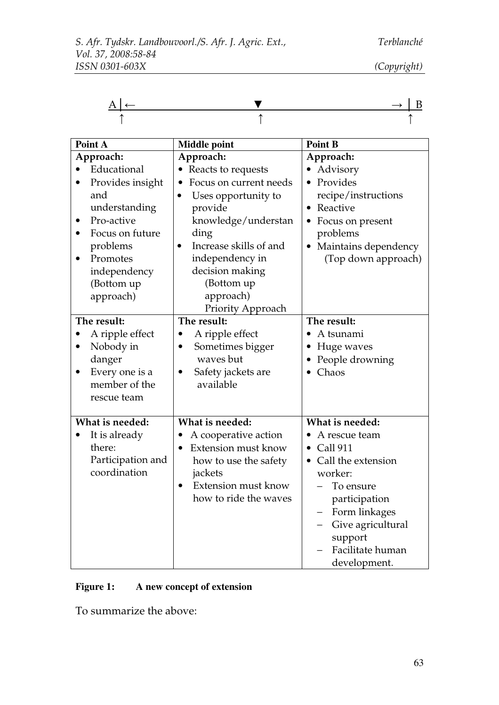| $A \rightarrow A$ | $\mathbf{D}$<br>$\sim$ |
|-------------------|------------------------|
|                   |                        |

| Point A                                                                                                                                                                                                         | <b>Middle point</b>                                                                                                                                                                                                                          | <b>Point B</b>                                                                                                                                                                                                       |
|-----------------------------------------------------------------------------------------------------------------------------------------------------------------------------------------------------------------|----------------------------------------------------------------------------------------------------------------------------------------------------------------------------------------------------------------------------------------------|----------------------------------------------------------------------------------------------------------------------------------------------------------------------------------------------------------------------|
| Approach:<br>Educational<br>Provides insight<br>and<br>understanding<br>Pro-active<br>$\bullet$<br>Focus on future<br>$\bullet$<br>problems<br>Promotes<br>$\bullet$<br>independency<br>(Bottom up<br>approach) | Approach:<br>• Reacts to requests<br>Focus on current needs<br>Uses opportunity to<br>provide<br>knowledge/understan<br>ding<br>Increase skills of and<br>independency in<br>decision making<br>(Bottom up<br>approach)<br>Priority Approach | Approach:<br>Advisory<br>Provides<br>recipe/instructions<br>Reactive<br>$\bullet$<br>Focus on present<br>problems<br>Maintains dependency<br>(Top down approach)                                                     |
| The result:<br>A ripple effect<br>Nobody in<br>$\bullet$<br>danger<br>Every one is a<br>$\bullet$<br>member of the<br>rescue team                                                                               | The result:<br>A ripple effect<br>Sometimes bigger<br>waves but<br>Safety jackets are<br>$\bullet$<br>available                                                                                                                              | The result:<br>A tsunami<br>Huge waves<br>People drowning<br>Chaos                                                                                                                                                   |
| What is needed:<br>It is already<br>$\bullet$<br>there:<br>Participation and<br>coordination                                                                                                                    | What is needed:<br>A cooperative action<br>Extension must know<br>how to use the safety<br>jackets<br>Extension must know<br>$\bullet$<br>how to ride the waves                                                                              | What is needed:<br>A rescue team<br><b>Call 911</b><br>$\bullet$<br>Call the extension<br>worker:<br>To ensure<br>participation<br>Form linkages<br>Give agricultural<br>support<br>Facilitate human<br>development. |

### **Figure 1: A new concept of extension**

To summarize the above: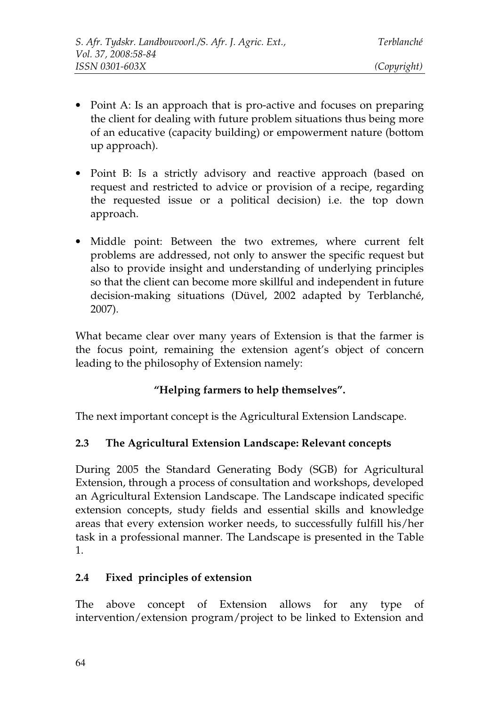- Point A: Is an approach that is pro-active and focuses on preparing the client for dealing with future problem situations thus being more of an educative (capacity building) or empowerment nature (bottom up approach).
- Point B: Is a strictly advisory and reactive approach (based on request and restricted to advice or provision of a recipe, regarding the requested issue or a political decision) i.e. the top down approach.
- Middle point: Between the two extremes, where current felt problems are addressed, not only to answer the specific request but also to provide insight and understanding of underlying principles so that the client can become more skillful and independent in future decision-making situations (Düvel, 2002 adapted by Terblanché, 2007).

What became clear over many years of Extension is that the farmer is the focus point, remaining the extension agent's object of concern leading to the philosophy of Extension namely:

# **"Helping farmers to help themselves".**

The next important concept is the Agricultural Extension Landscape.

### **2.3 The Agricultural Extension Landscape: Relevant concepts**

During 2005 the Standard Generating Body (SGB) for Agricultural Extension, through a process of consultation and workshops, developed an Agricultural Extension Landscape. The Landscape indicated specific extension concepts, study fields and essential skills and knowledge areas that every extension worker needs, to successfully fulfill his/her task in a professional manner. The Landscape is presented in the Table 1.

#### **2.4 Fixed principles of extension**

The above concept of Extension allows for any type of intervention/extension program/project to be linked to Extension and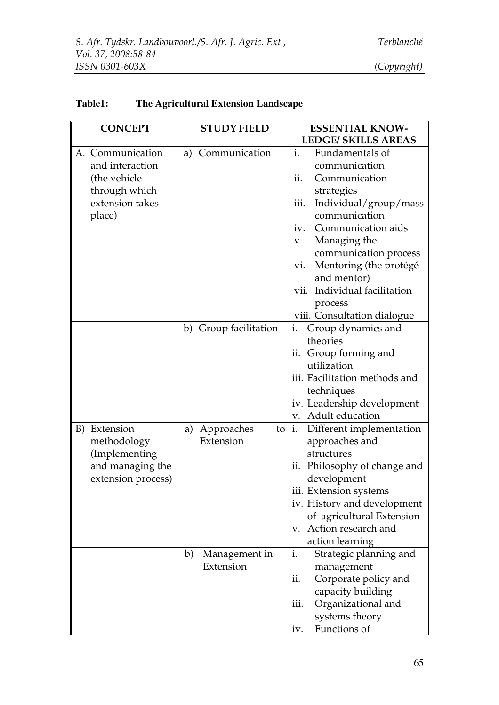| <b>CONCEPT</b>                    | <b>STUDY FIELD</b>               | <b>ESSENTIAL KNOW-</b>                           |
|-----------------------------------|----------------------------------|--------------------------------------------------|
|                                   |                                  | <b>LEDGE/ SKILLS AREAS</b>                       |
| A. Communication                  | a) Communication                 | $\mathbf{i}$ .<br>Fundamentals of                |
| and interaction                   |                                  | communication                                    |
| (the vehicle                      |                                  | ii.<br>Communication                             |
| through which                     |                                  | strategies                                       |
| extension takes                   |                                  | iii.<br>Individual/group/mass                    |
| place)                            |                                  | communication                                    |
|                                   |                                  | Communication aids<br>iv.                        |
|                                   |                                  | Managing the<br>V.                               |
|                                   |                                  | communication process                            |
|                                   |                                  | Mentoring (the protégé<br>vi.                    |
|                                   |                                  | and mentor)                                      |
|                                   |                                  | vii. Individual facilitation                     |
|                                   |                                  | process                                          |
|                                   |                                  | viii. Consultation dialogue                      |
|                                   | b) Group facilitation            | i.<br>Group dynamics and                         |
|                                   |                                  | theories                                         |
|                                   |                                  | ii. Group forming and                            |
|                                   |                                  | utilization                                      |
|                                   |                                  | iii. Facilitation methods and                    |
|                                   |                                  | techniques                                       |
|                                   |                                  | iv. Leadership development<br>v. Adult education |
| B) Extension                      |                                  | i.                                               |
|                                   | a) Approaches<br>to<br>Extension | Different implementation<br>approaches and       |
| methodology                       |                                  | structures                                       |
| (Implementing<br>and managing the |                                  | ii. Philosophy of change and                     |
| extension process)                |                                  | development                                      |
|                                   |                                  | iii. Extension systems                           |
|                                   |                                  | iv. History and development                      |
|                                   |                                  | of agricultural Extension                        |
|                                   |                                  | Action research and<br>$V_{\cdot}$               |
|                                   |                                  | action learning                                  |
|                                   | b)<br>Management in              | i.<br>Strategic planning and                     |
|                                   | Extension                        | management                                       |
|                                   |                                  | Corporate policy and<br>ii.                      |
|                                   |                                  | capacity building                                |
|                                   |                                  | Organizational and<br>iii.                       |
|                                   |                                  | systems theory                                   |
|                                   |                                  | Functions of<br>iv.                              |

### **Table1: The Agricultural Extension Landscape**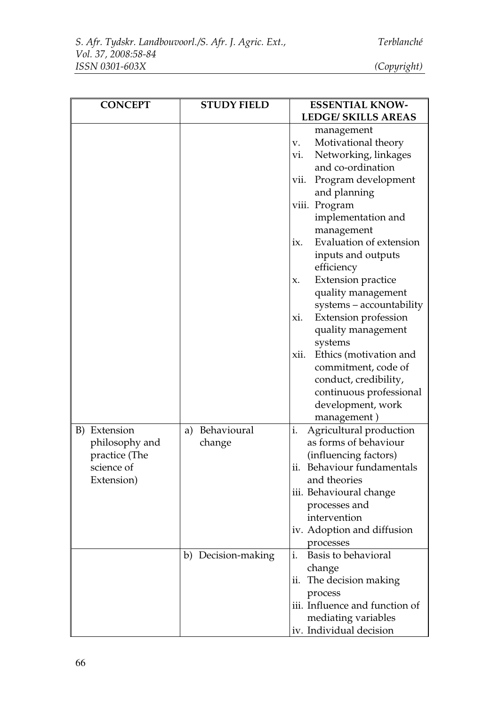| <b>CONCEPT</b>                                                              | <b>STUDY FIELD</b>                             | <b>ESSENTIAL KNOW-</b><br><b>LEDGE/ SKILLS AREAS</b>                                                                                                                                                                                                                                                                                                                                                                                                                                                                                                                               |
|-----------------------------------------------------------------------------|------------------------------------------------|------------------------------------------------------------------------------------------------------------------------------------------------------------------------------------------------------------------------------------------------------------------------------------------------------------------------------------------------------------------------------------------------------------------------------------------------------------------------------------------------------------------------------------------------------------------------------------|
|                                                                             |                                                | management<br>Motivational theory<br>V.<br>Networking, linkages<br>Vi.<br>and co-ordination<br>Program development<br>vii.<br>and planning<br>viii. Program<br>implementation and<br>management<br><b>Evaluation of extension</b><br>ix.<br>inputs and outputs<br>efficiency<br><b>Extension practice</b><br>X.<br>quality management<br>systems - accountability<br>Extension profession<br>xi.<br>quality management<br>systems<br>xii.<br>Ethics (motivation and<br>commitment, code of<br>conduct, credibility,<br>continuous professional<br>development, work<br>management) |
| B) Extension<br>philosophy and<br>practice (The<br>science of<br>Extension) | a) Behavioural<br>change<br>b) Decision-making | Agricultural production<br>i.<br>as forms of behaviour<br>(influencing factors)<br>ii. Behaviour fundamentals<br>and theories<br>iii. Behavioural change<br>processes and<br>intervention<br>iv. Adoption and diffusion<br>processes<br>i.<br>Basis to behavioral<br>change<br>The decision making<br>ii.<br>process<br>iii. Influence and function of<br>mediating variables<br>iv. Individual decision                                                                                                                                                                           |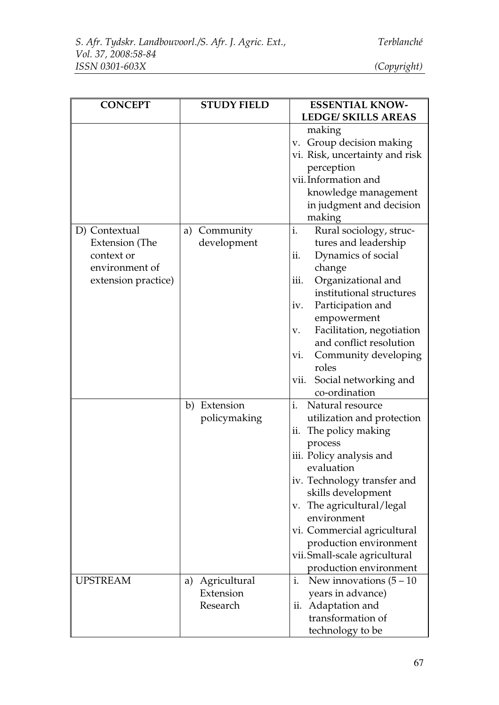| <b>CONCEPT</b>      | <b>STUDY FIELD</b> | <b>ESSENTIAL KNOW-</b>          |
|---------------------|--------------------|---------------------------------|
|                     |                    | <b>LEDGE/ SKILLS AREAS</b>      |
|                     |                    | making                          |
|                     |                    | v. Group decision making        |
|                     |                    | vi. Risk, uncertainty and risk  |
|                     |                    | perception                      |
|                     |                    | vii. Information and            |
|                     |                    | knowledge management            |
|                     |                    | in judgment and decision        |
|                     |                    | making                          |
| D) Contextual       | Community<br>a)    | i.<br>Rural sociology, struc-   |
| Extension (The      | development        | tures and leadership            |
| context or          |                    | ii.<br>Dynamics of social       |
| environment of      |                    | change                          |
| extension practice) |                    | iii.<br>Organizational and      |
|                     |                    | institutional structures        |
|                     |                    | Participation and<br>iv.        |
|                     |                    | empowerment                     |
|                     |                    | Facilitation, negotiation<br>V. |
|                     |                    | and conflict resolution         |
|                     |                    | Community developing<br>vi.     |
|                     |                    | roles                           |
|                     |                    | Social networking and<br>vii.   |
|                     |                    | co-ordination                   |
|                     | b) Extension       | i.<br>Natural resource          |
|                     | policymaking       | utilization and protection      |
|                     |                    | ii. The policy making           |
|                     |                    | process                         |
|                     |                    | iii. Policy analysis and        |
|                     |                    | evaluation                      |
|                     |                    | iv. Technology transfer and     |
|                     |                    | skills development              |
|                     |                    | v. The agricultural/legal       |
|                     |                    | environment                     |
|                     |                    | vi. Commercial agricultural     |
|                     |                    | production environment          |
|                     |                    | vii. Small-scale agricultural   |
|                     |                    | production environment          |
| <b>UPSTREAM</b>     | Agricultural<br>a) | i.<br>New innovations $(5-10)$  |
|                     | Extension          | years in advance)               |
|                     | Research           | Adaptation and<br>11.           |
|                     |                    | transformation of               |
|                     |                    | technology to be                |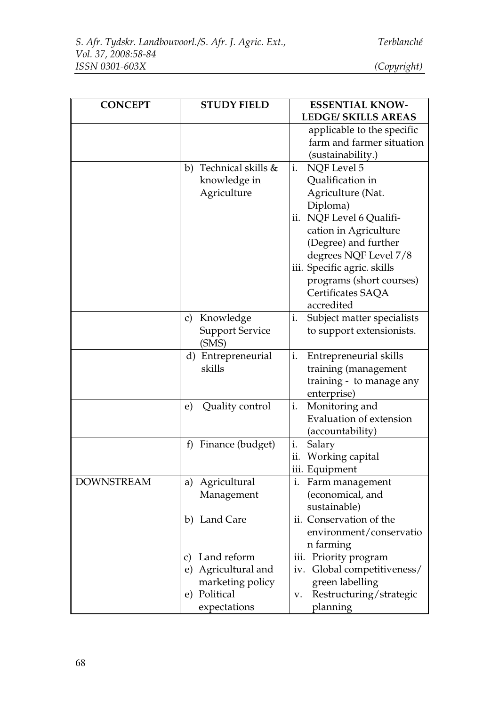| <b>CONCEPT</b>    | <b>STUDY FIELD</b>                     | <b>ESSENTIAL KNOW-</b>                    |
|-------------------|----------------------------------------|-------------------------------------------|
|                   |                                        | <b>LEDGE/ SKILLS AREAS</b>                |
|                   |                                        | applicable to the specific                |
|                   |                                        | farm and farmer situation                 |
|                   |                                        | (sustainability.)                         |
|                   | b) Technical skills &                  | <b>NQF</b> Level 5<br>i.                  |
|                   | knowledge in                           | Qualification in                          |
|                   | Agriculture                            | Agriculture (Nat.                         |
|                   |                                        | Diploma)                                  |
|                   |                                        | ii. NQF Level 6 Qualifi-                  |
|                   |                                        | cation in Agriculture                     |
|                   |                                        | (Degree) and further                      |
|                   |                                        | degrees NQF Level 7/8                     |
|                   |                                        | iii. Specific agric. skills               |
|                   |                                        | programs (short courses)                  |
|                   |                                        | Certificates SAQA<br>accredited           |
|                   |                                        | Subject matter specialists<br>i.          |
|                   | c) Knowledge<br><b>Support Service</b> | to support extensionists.                 |
|                   | (SMS)                                  |                                           |
|                   | d) Entrepreneurial                     | i.<br>Entrepreneurial skills              |
|                   | skills                                 | training (management                      |
|                   |                                        | training - to manage any                  |
|                   |                                        | enterprise)                               |
|                   | Quality control<br>e)                  | Monitoring and<br>i.                      |
|                   |                                        | <b>Evaluation of extension</b>            |
|                   |                                        | (accountability)                          |
|                   | Finance (budget)<br>f                  | i.<br>Salary                              |
|                   |                                        | ii. Working capital                       |
|                   |                                        | iii. Equipment                            |
| <b>DOWNSTREAM</b> | a) Agricultural                        | i. Farm management                        |
|                   | Management                             | (economical, and                          |
|                   |                                        | sustainable)                              |
|                   | b) Land Care                           | ii. Conservation of the                   |
|                   |                                        | environment/conservatio                   |
|                   |                                        | n farming                                 |
|                   | Land reform<br>C)                      | Priority program<br>iii.                  |
|                   | e) Agricultural and                    | Global competitiveness/<br>iv.            |
|                   | marketing policy<br>e) Political       | green labelling                           |
|                   | expectations                           | Restructuring/strategic<br>V.<br>planning |
|                   |                                        |                                           |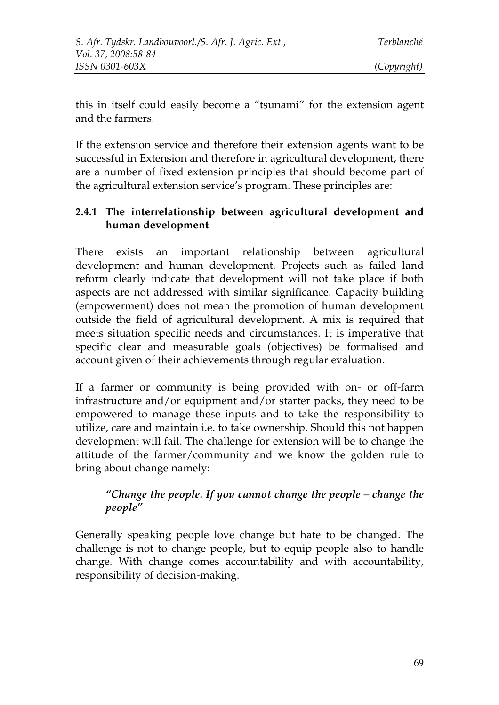this in itself could easily become a "tsunami" for the extension agent and the farmers.

If the extension service and therefore their extension agents want to be successful in Extension and therefore in agricultural development, there are a number of fixed extension principles that should become part of the agricultural extension service's program. These principles are:

### **2.4.1 The interrelationship between agricultural development and human development**

There exists an important relationship between agricultural development and human development. Projects such as failed land reform clearly indicate that development will not take place if both aspects are not addressed with similar significance. Capacity building (empowerment) does not mean the promotion of human development outside the field of agricultural development. A mix is required that meets situation specific needs and circumstances. It is imperative that specific clear and measurable goals (objectives) be formalised and account given of their achievements through regular evaluation.

If a farmer or community is being provided with on- or off-farm infrastructure and/or equipment and/or starter packs, they need to be empowered to manage these inputs and to take the responsibility to utilize, care and maintain i.e. to take ownership. Should this not happen development will fail. The challenge for extension will be to change the attitude of the farmer/community and we know the golden rule to bring about change namely:

### *"Change the people. If you cannot change the people – change the people"*

Generally speaking people love change but hate to be changed. The challenge is not to change people, but to equip people also to handle change. With change comes accountability and with accountability, responsibility of decision-making.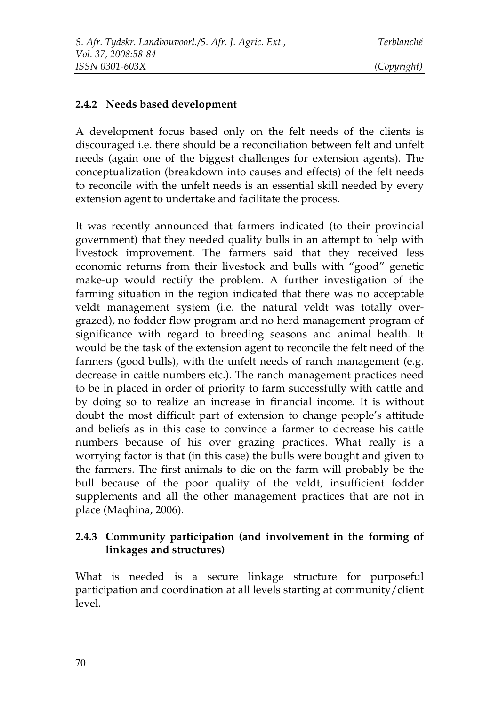#### **2.4.2 Needs based development**

A development focus based only on the felt needs of the clients is discouraged i.e. there should be a reconciliation between felt and unfelt needs (again one of the biggest challenges for extension agents). The conceptualization (breakdown into causes and effects) of the felt needs to reconcile with the unfelt needs is an essential skill needed by every extension agent to undertake and facilitate the process.

It was recently announced that farmers indicated (to their provincial government) that they needed quality bulls in an attempt to help with livestock improvement. The farmers said that they received less economic returns from their livestock and bulls with "good" genetic make-up would rectify the problem. A further investigation of the farming situation in the region indicated that there was no acceptable veldt management system (i.e. the natural veldt was totally overgrazed), no fodder flow program and no herd management program of significance with regard to breeding seasons and animal health. It would be the task of the extension agent to reconcile the felt need of the farmers (good bulls), with the unfelt needs of ranch management (e.g. decrease in cattle numbers etc.). The ranch management practices need to be in placed in order of priority to farm successfully with cattle and by doing so to realize an increase in financial income. It is without doubt the most difficult part of extension to change people's attitude and beliefs as in this case to convince a farmer to decrease his cattle numbers because of his over grazing practices. What really is a worrying factor is that (in this case) the bulls were bought and given to the farmers. The first animals to die on the farm will probably be the bull because of the poor quality of the veldt, insufficient fodder supplements and all the other management practices that are not in place (Maqhina, 2006).

### **2.4.3 Community participation (and involvement in the forming of linkages and structures)**

What is needed is a secure linkage structure for purposeful participation and coordination at all levels starting at community/client level.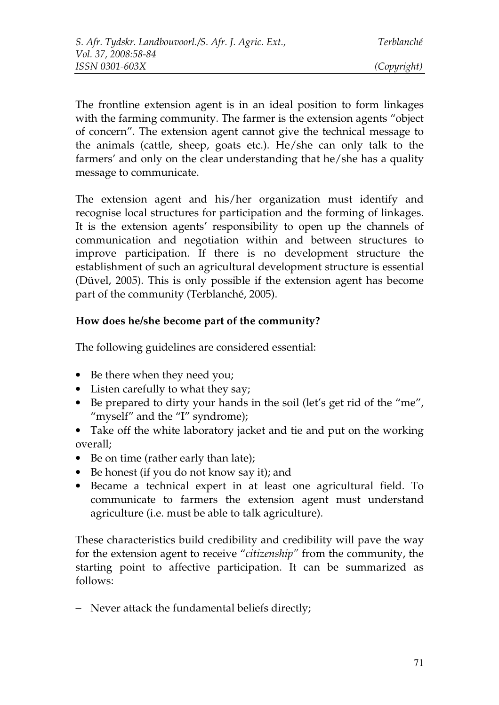The frontline extension agent is in an ideal position to form linkages with the farming community. The farmer is the extension agents "object of concern". The extension agent cannot give the technical message to the animals (cattle, sheep, goats etc.). He/she can only talk to the farmers' and only on the clear understanding that he/she has a quality message to communicate.

The extension agent and his/her organization must identify and recognise local structures for participation and the forming of linkages. It is the extension agents' responsibility to open up the channels of communication and negotiation within and between structures to improve participation. If there is no development structure the establishment of such an agricultural development structure is essential (Düvel, 2005). This is only possible if the extension agent has become part of the community (Terblanché, 2005).

### **How does he/she become part of the community?**

The following guidelines are considered essential:

- Be there when they need you;
- Listen carefully to what they say;
- Be prepared to dirty your hands in the soil (let's get rid of the "me", "myself" and the "I" syndrome);
- Take off the white laboratory jacket and tie and put on the working overall;
- Be on time (rather early than late);
- Be honest (if you do not know say it); and
- Became a technical expert in at least one agricultural field. To communicate to farmers the extension agent must understand agriculture (i.e. must be able to talk agriculture).

These characteristics build credibility and credibility will pave the way for the extension agent to receive "*citizenship"* from the community, the starting point to affective participation. It can be summarized as follows:

− Never attack the fundamental beliefs directly;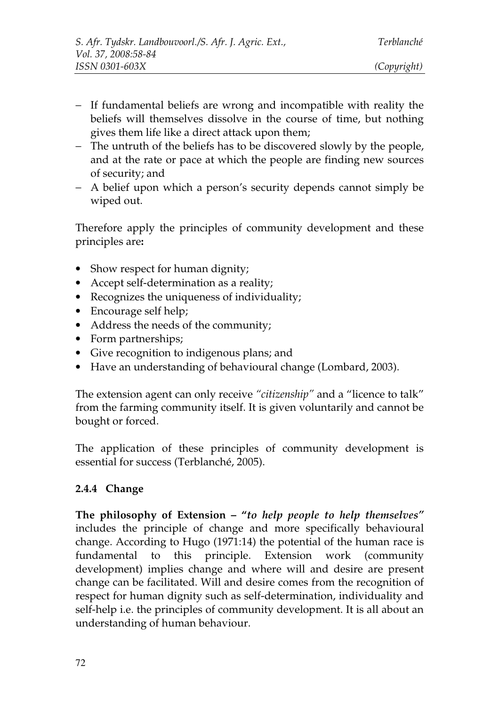- − If fundamental beliefs are wrong and incompatible with reality the beliefs will themselves dissolve in the course of time, but nothing gives them life like a direct attack upon them;
- − The untruth of the beliefs has to be discovered slowly by the people, and at the rate or pace at which the people are finding new sources of security; and
- − A belief upon which a person's security depends cannot simply be wiped out.

Therefore apply the principles of community development and these principles are**:**

- Show respect for human dignity;
- Accept self-determination as a reality;
- Recognizes the uniqueness of individuality;
- Encourage self help;
- Address the needs of the community;
- Form partnerships;
- Give recognition to indigenous plans; and
- Have an understanding of behavioural change (Lombard, 2003).

The extension agent can only receive *"citizenship"* and a "licence to talk" from the farming community itself. It is given voluntarily and cannot be bought or forced.

The application of these principles of community development is essential for success (Terblanché, 2005).

#### **2.4.4 Change**

**The philosophy of Extension – "***to help people to help themselves"* includes the principle of change and more specifically behavioural change. According to Hugo (1971:14) the potential of the human race is fundamental to this principle. Extension work (community development) implies change and where will and desire are present change can be facilitated. Will and desire comes from the recognition of respect for human dignity such as self-determination, individuality and self-help i.e. the principles of community development. It is all about an understanding of human behaviour.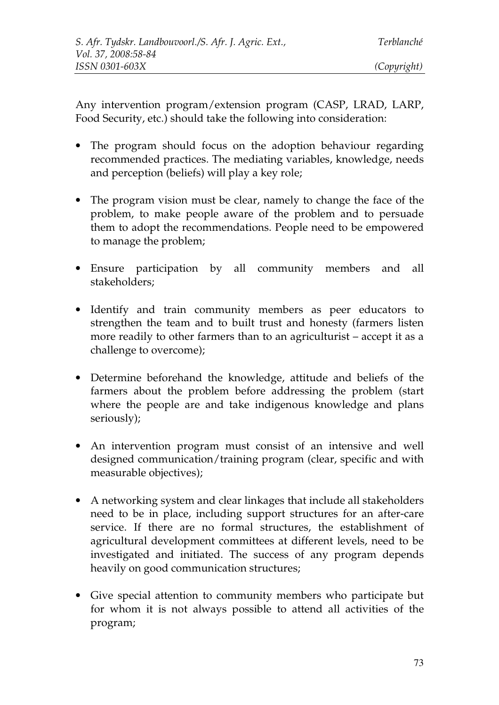Any intervention program/extension program (CASP, LRAD, LARP, Food Security, etc.) should take the following into consideration:

- The program should focus on the adoption behaviour regarding recommended practices. The mediating variables, knowledge, needs and perception (beliefs) will play a key role;
- The program vision must be clear, namely to change the face of the problem, to make people aware of the problem and to persuade them to adopt the recommendations. People need to be empowered to manage the problem;
- Ensure participation by all community members and all stakeholders;
- Identify and train community members as peer educators to strengthen the team and to built trust and honesty (farmers listen more readily to other farmers than to an agriculturist – accept it as a challenge to overcome);
- Determine beforehand the knowledge, attitude and beliefs of the farmers about the problem before addressing the problem (start where the people are and take indigenous knowledge and plans seriously);
- An intervention program must consist of an intensive and well designed communication/training program (clear, specific and with measurable objectives);
- A networking system and clear linkages that include all stakeholders need to be in place, including support structures for an after-care service. If there are no formal structures, the establishment of agricultural development committees at different levels, need to be investigated and initiated. The success of any program depends heavily on good communication structures;
- Give special attention to community members who participate but for whom it is not always possible to attend all activities of the program;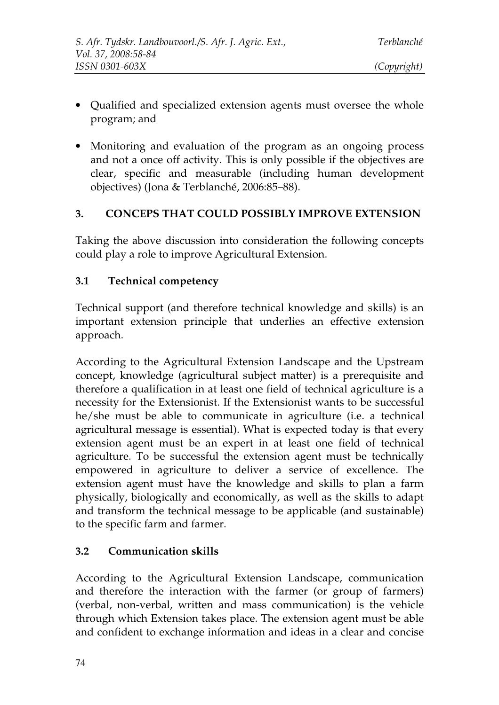- Qualified and specialized extension agents must oversee the whole program; and
- Monitoring and evaluation of the program as an ongoing process and not a once off activity. This is only possible if the objectives are clear, specific and measurable (including human development objectives) (Jona & Terblanché, 2006:85–88).

### **3. CONCEPS THAT COULD POSSIBLY IMPROVE EXTENSION**

Taking the above discussion into consideration the following concepts could play a role to improve Agricultural Extension.

### **3.1 Technical competency**

Technical support (and therefore technical knowledge and skills) is an important extension principle that underlies an effective extension approach.

According to the Agricultural Extension Landscape and the Upstream concept, knowledge (agricultural subject matter) is a prerequisite and therefore a qualification in at least one field of technical agriculture is a necessity for the Extensionist. If the Extensionist wants to be successful he/she must be able to communicate in agriculture (i.e. a technical agricultural message is essential). What is expected today is that every extension agent must be an expert in at least one field of technical agriculture. To be successful the extension agent must be technically empowered in agriculture to deliver a service of excellence. The extension agent must have the knowledge and skills to plan a farm physically, biologically and economically, as well as the skills to adapt and transform the technical message to be applicable (and sustainable) to the specific farm and farmer.

### **3.2 Communication skills**

According to the Agricultural Extension Landscape, communication and therefore the interaction with the farmer (or group of farmers) (verbal, non-verbal, written and mass communication) is the vehicle through which Extension takes place. The extension agent must be able and confident to exchange information and ideas in a clear and concise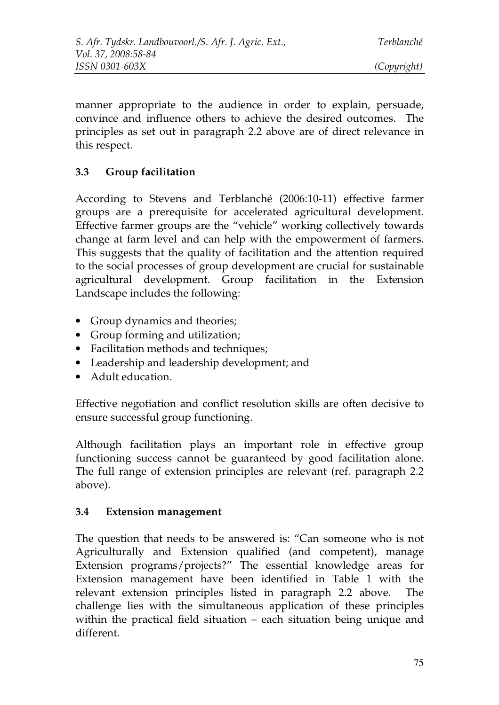manner appropriate to the audience in order to explain, persuade, convince and influence others to achieve the desired outcomes. The principles as set out in paragraph 2.2 above are of direct relevance in this respect.

### **3.3 Group facilitation**

According to Stevens and Terblanché (2006:10-11) effective farmer groups are a prerequisite for accelerated agricultural development. Effective farmer groups are the "vehicle" working collectively towards change at farm level and can help with the empowerment of farmers. This suggests that the quality of facilitation and the attention required to the social processes of group development are crucial for sustainable agricultural development. Group facilitation in the Extension Landscape includes the following:

- Group dynamics and theories;
- Group forming and utilization;
- Facilitation methods and techniques;
- Leadership and leadership development; and
- Adult education.

Effective negotiation and conflict resolution skills are often decisive to ensure successful group functioning.

Although facilitation plays an important role in effective group functioning success cannot be guaranteed by good facilitation alone. The full range of extension principles are relevant (ref. paragraph 2.2 above).

### **3.4 Extension management**

The question that needs to be answered is: "Can someone who is not Agriculturally and Extension qualified (and competent), manage Extension programs/projects?" The essential knowledge areas for Extension management have been identified in Table 1 with the relevant extension principles listed in paragraph 2.2 above. The challenge lies with the simultaneous application of these principles within the practical field situation – each situation being unique and different.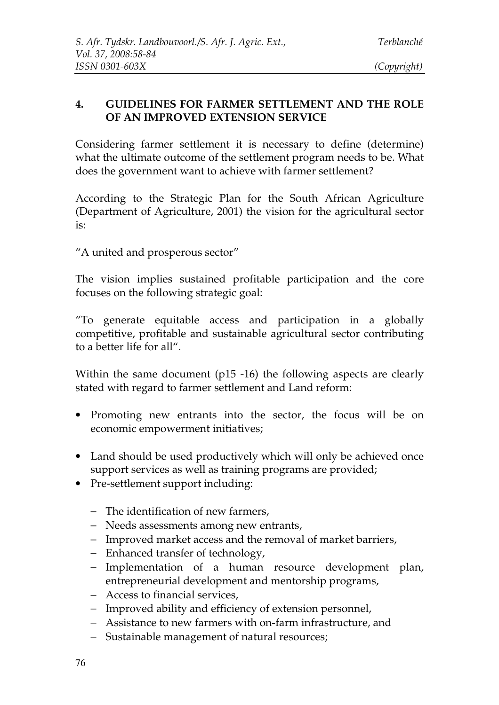### **4. GUIDELINES FOR FARMER SETTLEMENT AND THE ROLE OF AN IMPROVED EXTENSION SERVICE**

Considering farmer settlement it is necessary to define (determine) what the ultimate outcome of the settlement program needs to be. What does the government want to achieve with farmer settlement?

According to the Strategic Plan for the South African Agriculture (Department of Agriculture, 2001) the vision for the agricultural sector is:

"A united and prosperous sector"

The vision implies sustained profitable participation and the core focuses on the following strategic goal:

"To generate equitable access and participation in a globally competitive, profitable and sustainable agricultural sector contributing to a better life for all".

Within the same document (p15 -16) the following aspects are clearly stated with regard to farmer settlement and Land reform:

- Promoting new entrants into the sector, the focus will be on economic empowerment initiatives;
- Land should be used productively which will only be achieved once support services as well as training programs are provided;
- Pre-settlement support including:
	- − The identification of new farmers,
	- − Needs assessments among new entrants,
	- − Improved market access and the removal of market barriers,
	- − Enhanced transfer of technology,
	- − Implementation of a human resource development plan, entrepreneurial development and mentorship programs,
	- − Access to financial services,
	- − Improved ability and efficiency of extension personnel,
	- − Assistance to new farmers with on-farm infrastructure, and
	- − Sustainable management of natural resources;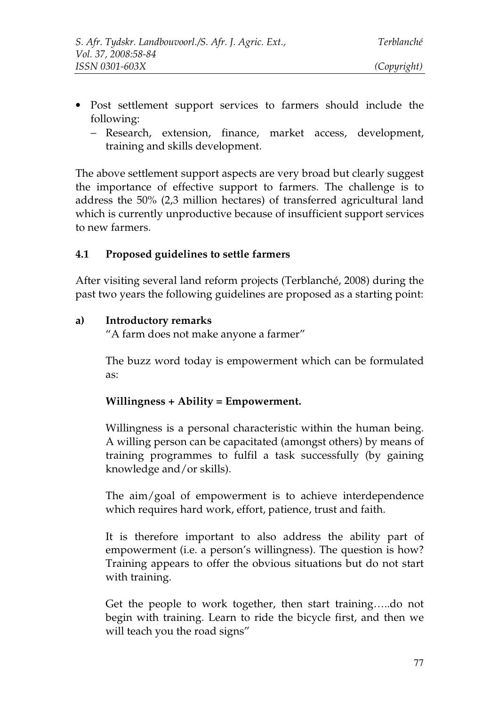- Post settlement support services to farmers should include the following:
	- − Research, extension, finance, market access, development, training and skills development.

The above settlement support aspects are very broad but clearly suggest the importance of effective support to farmers. The challenge is to address the 50% (2,3 million hectares) of transferred agricultural land which is currently unproductive because of insufficient support services to new farmers.

### **4.1 Proposed guidelines to settle farmers**

After visiting several land reform projects (Terblanché, 2008) during the past two years the following guidelines are proposed as a starting point:

#### **a) Introductory remarks**

"A farm does not make anyone a farmer"

The buzz word today is empowerment which can be formulated as:

#### **Willingness + Ability = Empowerment.**

Willingness is a personal characteristic within the human being. A willing person can be capacitated (amongst others) by means of training programmes to fulfil a task successfully (by gaining knowledge and/or skills).

The aim/goal of empowerment is to achieve interdependence which requires hard work, effort, patience, trust and faith.

It is therefore important to also address the ability part of empowerment (i.e. a person's willingness). The question is how? Training appears to offer the obvious situations but do not start with training.

Get the people to work together, then start training…..do not begin with training. Learn to ride the bicycle first, and then we will teach you the road signs"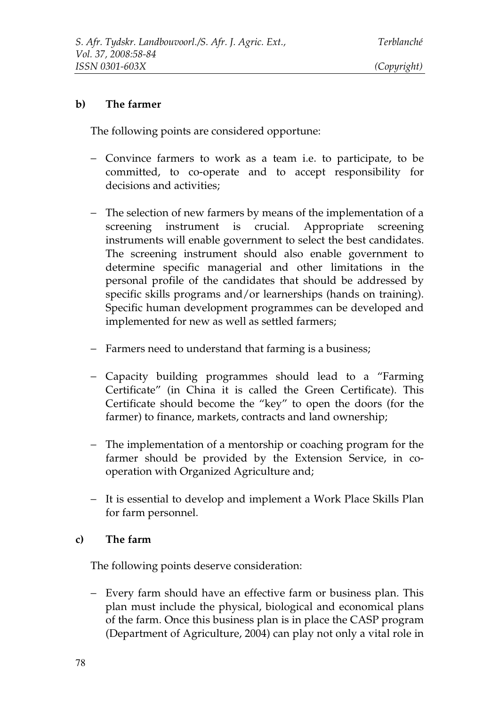#### **b) The farmer**

The following points are considered opportune:

- − Convince farmers to work as a team i.e. to participate, to be committed, to co-operate and to accept responsibility for decisions and activities;
- − The selection of new farmers by means of the implementation of a screening instrument is crucial. Appropriate screening instruments will enable government to select the best candidates. The screening instrument should also enable government to determine specific managerial and other limitations in the personal profile of the candidates that should be addressed by specific skills programs and/or learnerships (hands on training). Specific human development programmes can be developed and implemented for new as well as settled farmers;
- − Farmers need to understand that farming is a business;
- − Capacity building programmes should lead to a "Farming Certificate" (in China it is called the Green Certificate). This Certificate should become the "key" to open the doors (for the farmer) to finance, markets, contracts and land ownership;
- − The implementation of a mentorship or coaching program for the farmer should be provided by the Extension Service, in cooperation with Organized Agriculture and;
- − It is essential to develop and implement a Work Place Skills Plan for farm personnel.

#### **c) The farm**

The following points deserve consideration:

− Every farm should have an effective farm or business plan. This plan must include the physical, biological and economical plans of the farm. Once this business plan is in place the CASP program (Department of Agriculture, 2004) can play not only a vital role in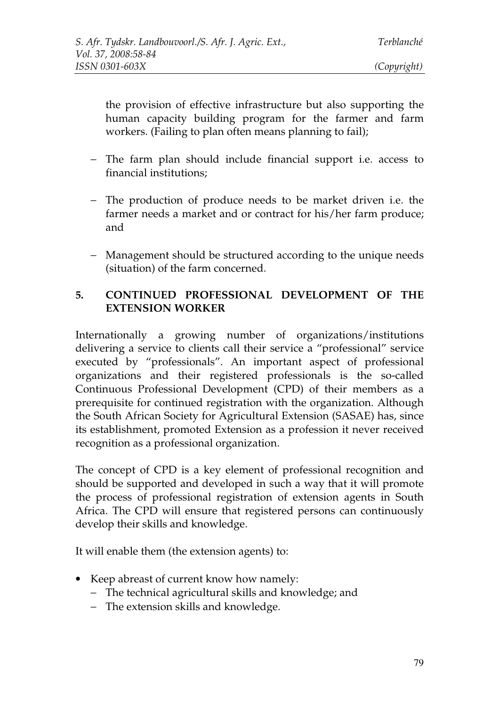the provision of effective infrastructure but also supporting the human capacity building program for the farmer and farm workers. (Failing to plan often means planning to fail);

- − The farm plan should include financial support i.e. access to financial institutions;
- − The production of produce needs to be market driven i.e. the farmer needs a market and or contract for his/her farm produce; and
- − Management should be structured according to the unique needs (situation) of the farm concerned.

### **5. CONTINUED PROFESSIONAL DEVELOPMENT OF THE EXTENSION WORKER**

Internationally a growing number of organizations/institutions delivering a service to clients call their service a "professional" service executed by "professionals". An important aspect of professional organizations and their registered professionals is the so-called Continuous Professional Development (CPD) of their members as a prerequisite for continued registration with the organization. Although the South African Society for Agricultural Extension (SASAE) has, since its establishment, promoted Extension as a profession it never received recognition as a professional organization.

The concept of CPD is a key element of professional recognition and should be supported and developed in such a way that it will promote the process of professional registration of extension agents in South Africa. The CPD will ensure that registered persons can continuously develop their skills and knowledge.

It will enable them (the extension agents) to:

- Keep abreast of current know how namely:
	- − The technical agricultural skills and knowledge; and
	- − The extension skills and knowledge.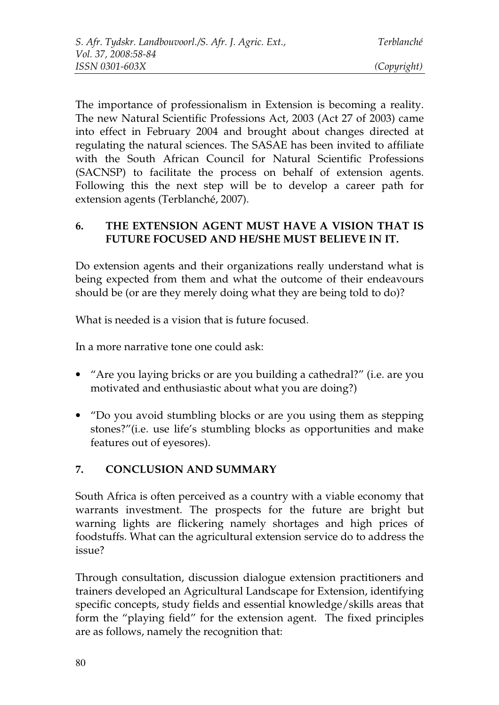The importance of professionalism in Extension is becoming a reality. The new Natural Scientific Professions Act, 2003 (Act 27 of 2003) came into effect in February 2004 and brought about changes directed at regulating the natural sciences. The SASAE has been invited to affiliate with the South African Council for Natural Scientific Professions (SACNSP) to facilitate the process on behalf of extension agents. Following this the next step will be to develop a career path for extension agents (Terblanché, 2007).

### **6. THE EXTENSION AGENT MUST HAVE A VISION THAT IS FUTURE FOCUSED AND HE/SHE MUST BELIEVE IN IT.**

Do extension agents and their organizations really understand what is being expected from them and what the outcome of their endeavours should be (or are they merely doing what they are being told to do)?

What is needed is a vision that is future focused.

In a more narrative tone one could ask:

- "Are you laying bricks or are you building a cathedral?" (i.e. are you motivated and enthusiastic about what you are doing?)
- "Do you avoid stumbling blocks or are you using them as stepping stones?"(i.e. use life's stumbling blocks as opportunities and make features out of eyesores).

# **7. CONCLUSION AND SUMMARY**

South Africa is often perceived as a country with a viable economy that warrants investment. The prospects for the future are bright but warning lights are flickering namely shortages and high prices of foodstuffs. What can the agricultural extension service do to address the issue?

Through consultation, discussion dialogue extension practitioners and trainers developed an Agricultural Landscape for Extension, identifying specific concepts, study fields and essential knowledge/skills areas that form the "playing field" for the extension agent. The fixed principles are as follows, namely the recognition that: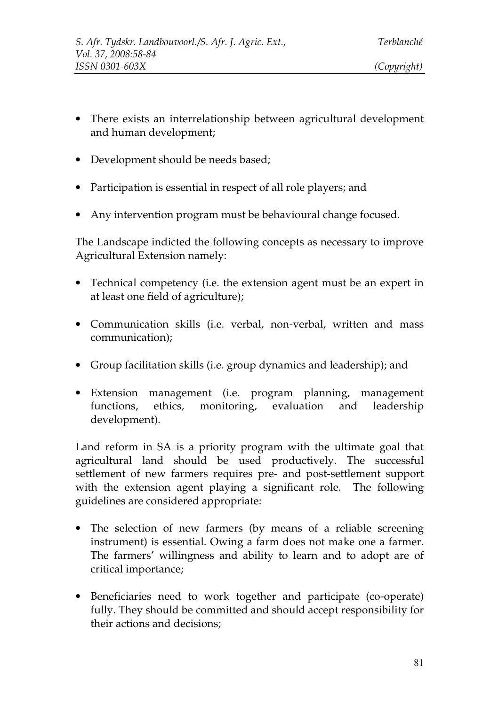- There exists an interrelationship between agricultural development and human development;
- Development should be needs based;
- Participation is essential in respect of all role players; and
- Any intervention program must be behavioural change focused.

The Landscape indicted the following concepts as necessary to improve Agricultural Extension namely:

- Technical competency (i.e. the extension agent must be an expert in at least one field of agriculture);
- Communication skills (i.e. verbal, non-verbal, written and mass communication);
- Group facilitation skills (i.e. group dynamics and leadership); and
- Extension management (i.e. program planning, management functions, ethics, monitoring, evaluation and leadership development).

Land reform in SA is a priority program with the ultimate goal that agricultural land should be used productively. The successful settlement of new farmers requires pre- and post-settlement support with the extension agent playing a significant role. The following guidelines are considered appropriate:

- The selection of new farmers (by means of a reliable screening instrument) is essential. Owing a farm does not make one a farmer. The farmers' willingness and ability to learn and to adopt are of critical importance;
- Beneficiaries need to work together and participate (co-operate) fully. They should be committed and should accept responsibility for their actions and decisions;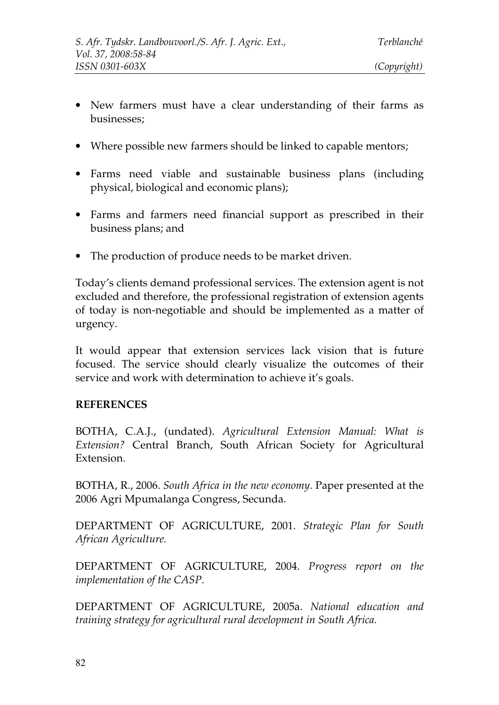- 
- New farmers must have a clear understanding of their farms as businesses;
- Where possible new farmers should be linked to capable mentors;
- Farms need viable and sustainable business plans (including physical, biological and economic plans);
- Farms and farmers need financial support as prescribed in their business plans; and
- The production of produce needs to be market driven.

Today's clients demand professional services. The extension agent is not excluded and therefore, the professional registration of extension agents of today is non-negotiable and should be implemented as a matter of urgency.

It would appear that extension services lack vision that is future focused. The service should clearly visualize the outcomes of their service and work with determination to achieve it's goals.

#### **REFERENCES**

BOTHA, C.A.J., (undated). *Agricultural Extension Manual: What is Extension?* Central Branch, South African Society for Agricultural Extension.

BOTHA, R., 2006. *South Africa in the new economy*. Paper presented at the 2006 Agri Mpumalanga Congress, Secunda.

DEPARTMENT OF AGRICULTURE, 2001. *Strategic Plan for South African Agriculture.*

DEPARTMENT OF AGRICULTURE, 2004. *Progress report on the implementation of the CASP*.

DEPARTMENT OF AGRICULTURE, 2005a. *National education and training strategy for agricultural rural development in South Africa.*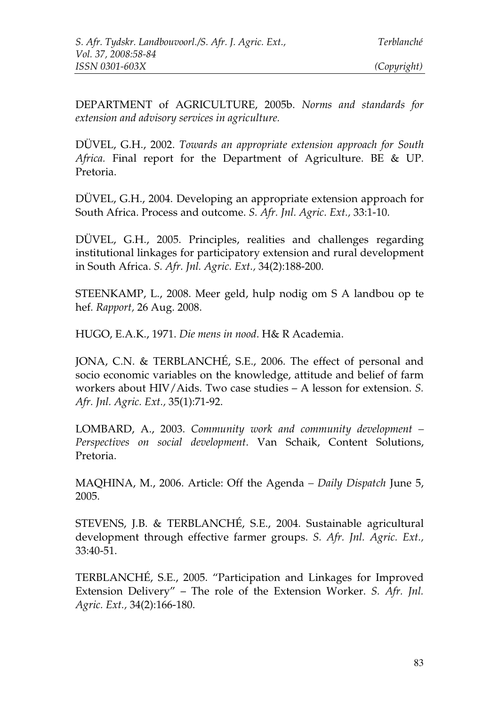DEPARTMENT of AGRICULTURE, 2005b. *Norms and standards for extension and advisory services in agriculture.*

DÜVEL, G.H., 2002. *Towards an appropriate extension approach for South Africa.* Final report for the Department of Agriculture. BE & UP. Pretoria.

DÜVEL, G.H., 2004. Developing an appropriate extension approach for South Africa. Process and outcome. *S. Afr. Jnl. Agric. Ext.,* 33:1-10.

DÜVEL, G.H., 2005. Principles, realities and challenges regarding institutional linkages for participatory extension and rural development in South Africa. *S. Afr. Jnl. Agric. Ext.,* 34(2):188-200.

STEENKAMP, L., 2008. Meer geld, hulp nodig om S A landbou op te hef*. Rapport,* 26 Aug. 2008.

HUGO, E.A.K., 1971. *Die mens in nood*. H& R Academia.

JONA, C.N. & TERBLANCHÉ, S.E., 2006. The effect of personal and socio economic variables on the knowledge, attitude and belief of farm workers about HIV/Aids. Two case studies – A lesson for extension. *S. Afr. Jnl. Agric. Ext.,* 35(1):71-92.

LOMBARD, A., 2003. *Community work and community development – Perspectives on social development*. Van Schaik, Content Solutions, Pretoria.

MAQHINA, M., 2006. Article: Off the Agenda *– Daily Dispatch* June 5, 2005.

STEVENS, J.B. & TERBLANCHÉ, S.E., 2004. Sustainable agricultural development through effective farmer groups. *S. Afr. Jnl. Agric. Ext.,* 33:40-51.

TERBLANCHÉ, S.E., 2005. "Participation and Linkages for Improved Extension Delivery" – The role of the Extension Worker. *S. Afr. Jnl. Agric. Ext.,* 34(2):166-180.